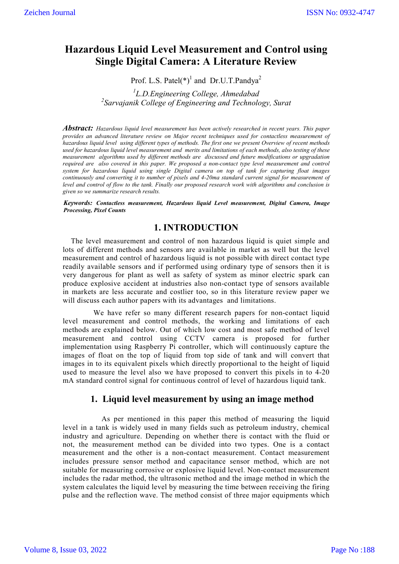# **Hazardous Liquid Level Measurement and Control using Single Digital Camera: A Literature Review**

Prof. L.S. Patel(\*)<sup>1</sup> and Dr.U.T.Pandya<sup>2</sup>

*1 L.D.Engineering College, Ahmedabad 2 Sarvajanik College of Engineering and Technology, Surat*

*Abstract: Hazardous liquid level measurement has been actively researched in recent years. This paper provides an advanced literature review on Major recent techniques used for contactless measurement of hazardous liquid level using different types of methods. The first one we present Overview of recent methods used for hazardous liquid level measurement and merits and limitations of each methods, also testing of these measurement algorithms used by different methods are discussed and future modifications or upgradation required are also covered in this paper. We proposed a non-contact type level measurement and control system for hazardous liquid using single Digital camera on top of tank for capturing float images continuously and converting it to number of pixels and 4-20ma standard current signal for measurement of level and control of flow to the tank. Finally our proposed research work with algorithms and conclusion is given so we summarize research results.*

*Keywords: Contactless measurement, Hazardous liquid Level measurement, Digital Camera, Image Processing, Pixel Counts*

### **1. INTRODUCTION**

The level measurement and control of non hazardous liquid is quiet simple and lots of different methods and sensors are available in market as well but the level measurement and control of hazardous liquid is not possible with direct contact type readily available sensors and if performed using ordinary type of sensors then it is very dangerous for plant as well as safety of system as minor electric spark can produce explosive accident at industries also non-contact type of sensors available in markets are less accurate and costlier too, so in this literature review paper we will discuss each author papers with its advantages and limitations.

 We have refer so many different research papers for non-contact liquid level measurement and control methods, the working and limitations of each methods are explained below. Out of which low cost and most safe method of level measurement and control using CCTV camera is proposed for further implementation using Raspberry Pi controller, which will continuously capture the images of float on the top of liquid from top side of tank and will convert that images in to its equivalent pixels which directly proportional to the height of liquid used to measure the level also we have proposed to convert this pixels in to 4-20 mA standard control signal for continuous control of level of hazardous liquid tank.

### **1. Liquid level measurement by using an image method**

 As per mentioned in this paper this method of measuring the liquid level in a tank is widely used in many fields such as petroleum industry, chemical industry and agriculture. Depending on whether there is contact with the fluid or not, the measurement method can be divided into two types. One is a contact measurement and the other is a non-contact measurement. Contact measurement includes pressure sensor method and capacitance sensor method, which are not suitable for measuring corrosive or explosive liquid level. Non-contact measurement includes the radar method, the ultrasonic method and the image method in which the system calculates the liquid level by measuring the time between receiving the firing pulse and the reflection wave. The method consist of three major equipments which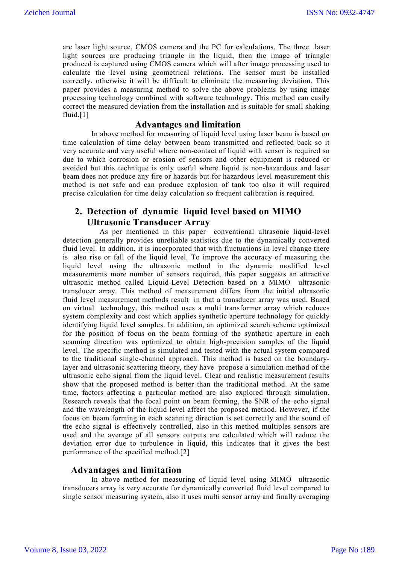are laser light source, CMOS camera and the PC for calculations. The three laser light sources are producing triangle in the liquid, then the image of triangle produced is captured using CMOS camera which will after image processing used to calculate the level using geometrical relations. The sensor must be installed correctly, otherwise it will be difficult to eliminate the measuring deviation. This paper provides a measuring method to solve the above problems by using image processing technology combined with software technology. This method can easily correct the measured deviation from the installation and is suitable for small shaking fluid.[1]

#### **Advantages and limitation**

 In above method for measuring of liquid level using laser beam is based on time calculation of time delay between beam transmitted and reflected back so it very accurate and very useful where non-contact of liquid with sensor is required so due to which corrosion or erosion of sensors and other equipment is reduced or avoided but this technique is only useful where liquid is non-hazardous and laser beam does not produce any fire or hazards but for hazardous level measurement this method is not safe and can produce explosion of tank too also it will required precise calculation for time delay calculation so frequent calibration is required.

# **2. Detection of dynamic liquid level based on MIMO Ultrasonic Transducer Array**

As per mentioned in this paper conventional ultrasonic liquid-level detection generally provides unreliable statistics due to the dynamically converted fluid level. In addition, it is incorporated that with fluctuations in level change there is also rise or fall of the liquid level. To improve the accuracy of measuring the liquid level using the ultrasonic method in the dynamic modified level measurements more number of sensors required, this paper suggests an attractive ultrasonic method called Liquid-Level Detection based on a MIMO ultrasonic transducer array. This method of measurement differs from the initial ultrasonic fluid level measurement methods result in that a transducer array was used. Based on virtual technology, this method uses a multi transformer array which reduces system complexity and cost which applies synthetic aperture technology for quickly identifying liquid level samples. In addition, an optimized search scheme optimized for the position of focus on the beam forming of the synthetic aperture in each scanning direction was optimized to obtain high-precision samples of the liquid level. The specific method is simulated and tested with the actual system compared to the traditional single-channel approach. This method is based on the boundarylayer and ultrasonic scattering theory, they have propose a simulation method of the ultrasonic echo signal from the liquid level. Clear and realistic measurement results show that the proposed method is better than the traditional method. At the same time, factors affecting a particular method are also explored through simulation. Research reveals that the focal point on beam forming, the SNR of the echo signal and the wavelength of the liquid level affect the proposed method. However, if the focus on beam forming in each scanning direction is set correctly and the sound of the echo signal is effectively controlled, also in this method multiples sensors are used and the average of all sensors outputs are calculated which will reduce the deviation error due to turbulence in liquid, this indicates that it gives the best performance of the specified method.[2]

#### **Advantages and limitation**

 In above method for measuring of liquid level using MIMO ultrasonic transducers array is very accurate for dynamically converted fluid level compared to single sensor measuring system, also it uses multi sensor array and finally averaging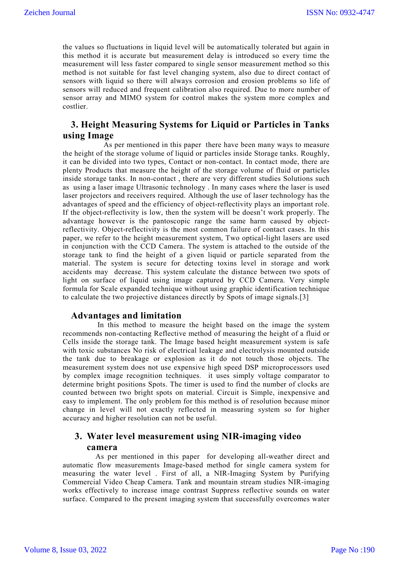the values so fluctuations in liquid level will be automatically tolerated but again in this method it is accurate but measurement delay is introduced so every time the measurement will less faster compared to single sensor measurement method so this method is not suitable for fast level changing system, also due to direct contact of sensors with liquid so there will always corrosion and erosion problems so life of sensors will reduced and frequent calibration also required. Due to more number of sensor array and MIMO system for control makes the system more complex and costlier.

# **3. Height Measuring Systems for Liquid or Particles in Tanks using Image**

 As per mentioned in this paper there have been many ways to measure the height of the storage volume of liquid or particles inside Storage tanks. Roughly, it can be divided into two types, Contact or non-contact. In contact mode, there are plenty Products that measure the height of the storage volume of fluid or particles inside storage tanks. In non-contact , there are very different studies Solutions such as using a laser image Ultrasonic technology . In many cases where the laser is used laser projectors and receivers required. Although the use of laser technology has the advantages of speed and the efficiency of object-reflectivity plays an important role. If the object-reflectivity is low, then the system will be doesn't work properly. The advantage however is the pantoscopic range the same harm caused by objectreflectivity. Object-reflectivity is the most common failure of contact cases. In this paper, we refer to the height measurement system, Two optical-light lasers are used in conjunction with the CCD Camera. The system is attached to the outside of the storage tank to find the height of a given liquid or particle separated from the material. The system is secure for detecting toxins level in storage and work accidents may decrease. This system calculate the distance between two spots of light on surface of liquid using image captured by CCD Camera. Very simple formula for Scale expanded technique without using graphic identification technique to calculate the two projective distances directly by Spots of image signals.[3]

#### **Advantages and limitation**

 In this method to measure the height based on the image the system recommends non-contacting Reflective method of measuring the height of a fluid or Cells inside the storage tank. The Image based height measurement system is safe with toxic substances No risk of electrical leakage and electrolysis mounted outside the tank due to breakage or explosion as it do not touch those objects. The measurement system does not use expensive high speed DSP microprocessors used by complex image recognition techniques. it uses simply voltage comparator to determine bright positions Spots. The timer is used to find the number of clocks are counted between two bright spots on material. Circuit is Simple, inexpensive and easy to implement. The only problem for this method is of resolution because minor change in level will not exactly reflected in measuring system so for higher accuracy and higher resolution can not be useful.

# **3. Water level measurement using NIR-imaging video camera**

 As per mentioned in this paper for developing all-weather direct and automatic flow measurements Image-based method for single camera system for measuring the water level . First of all, a NIR-Imaging System by Purifying Commercial Video Cheap Camera. Tank and mountain stream studies NIR-imaging works effectively to increase image contrast Suppress reflective sounds on water surface. Compared to the present imaging system that successfully overcomes water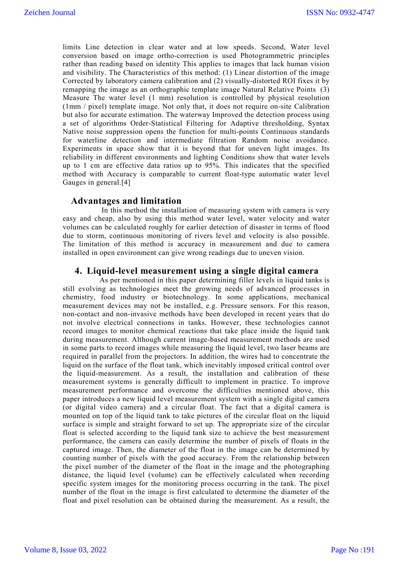limits Line detection in clear water and at low speeds. Second, Water level conversion based on image ortho-correction is used Photogrammetric principles rather than reading based on identity This applies to images that lack human vision and visibility. The Characteristics of this method: (1) Linear distortion of the image Corrected by laboratory camera calibration and (2) visually-distorted ROI fixes it by remapping the image as an orthographic template image Natural Relative Points (3) Measure The water level (1 mm) resolution is controlled by physical resolution (1mm / pixel) template image. Not only that, it does not require on-site Calibration but also for accurate estimation. The waterway Improved the detection process using a set of algorithms Order-Statistical Filtering for Adaptive thresholding, Syntax Native noise suppression opens the function for multi-points Continuous standards for waterline detection and intermediate filtration Random noise avoidance. Experiments in space show that it is beyond that for uneven light images. Its reliability in different environments and lighting Conditions show that water levels up to 1 cm are effective data ratios up to 95%. This indicates that the specified method with Accuracy is comparable to current float-type automatic water level Gauges in general.[4]

#### **Advantages and limitation**

 In this method the installation of measuring system with camera is very easy and cheap, also by using this method water level, water velocity and water volumes can be calculated roughly for earlier detection of disaster in terms of flood due to storm, continuous monitoring of rivers level and velocity is also possible. The limitation of this method is accuracy in measurement and due to camera installed in open environment can give wrong readings due to uneven vision.

#### **4. Liquid-level measurement using a single digital camera**

 As per mentioned in this paper determining filler levels in liquid tanks is still evolving as technologies meet the growing needs of advanced processes in chemistry, food industry or biotechnology. In some applications, mechanical measurement devices may not be installed, e.g. Pressure sensors. For this reason, non-contact and non-invasive methods have been developed in recent years that do not involve electrical connections in tanks. However, these technologies cannot record images to monitor chemical reactions that take place inside the liquid tank during measurement. Although current image-based measurement methods are used in some parts to record images while measuring the liquid level, two laser beams are required in parallel from the projectors. In addition, the wires had to concentrate the liquid on the surface of the float tank, which inevitably imposed critical control over the liquid-measurement. As a result, the installation and calibration of these measurement systems is generally difficult to implement in practice. To improve measurement performance and overcome the difficulties mentioned above, this paper introduces a new liquid level measurement system with a single digital camera (or digital video camera) and a circular float. The fact that a digital camera is mounted on top of the liquid tank to take pictures of the circular float on the liquid surface is simple and straight forward to set up. The appropriate size of the circular float is selected according to the liquid tank size to achieve the best measurement performance, the camera can easily determine the number of pixels of floats in the captured image. Then, the diameter of the float in the image can be determined by counting number of pixels with the good accuracy. From the relationship between the pixel number of the diameter of the float in the image and the photographing distance, the liquid level (volume) can be effectively calculated when recording specific system images for the monitoring process occurring in the tank. The pixel number of the float in the image is first calculated to determine the diameter of the float and pixel resolution can be obtained during the measurement. As a result, the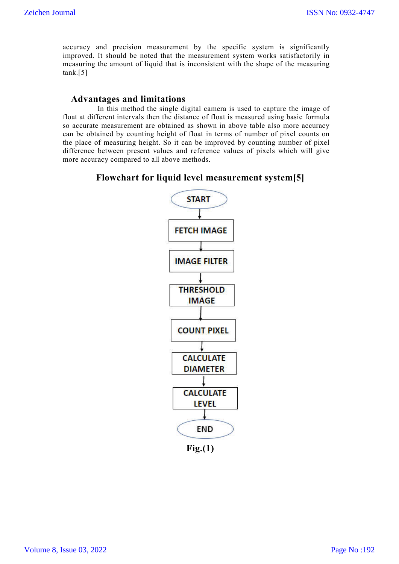accuracy and precision measurement by the specific system is significantly improved. It should be noted that the measurement system works satisfactorily in measuring the amount of liquid that is inconsistent with the shape of the measuring tank.[5]

### **Advantages and limitations**

 In this method the single digital camera is used to capture the image of float at different intervals then the distance of float is measured using basic formula so accurate measurement are obtained as shown in above table also more accuracy can be obtained by counting height of float in terms of number of pixel counts on the place of measuring height. So it can be improved by counting number of pixel difference between present values and reference values of pixels which will give more accuracy compared to all above methods.

# **Flowchart for liquid level measurement system[5]**



**Fig.(1)**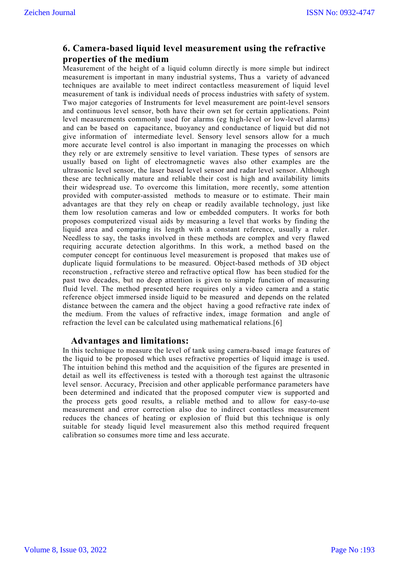# **6. Camera-based liquid level measurement using the refractive properties of the medium**

Measurement of the height of a liquid column directly is more simple but indirect measurement is important in many industrial systems, Thus a variety of advanced techniques are available to meet indirect contactless measurement of liquid level measurement of tank is individual needs of process industries with safety of system. Two major categories of Instruments for level measurement are point-level sensors and continuous level sensor, both have their own set for certain applications. Point level measurements commonly used for alarms (eg high-level or low-level alarms) and can be based on capacitance, buoyancy and conductance of liquid but did not give information of intermediate level. Sensory level sensors allow for a much more accurate level control is also important in managing the processes on which they rely or are extremely sensitive to level variation. These types of sensors are usually based on light of electromagnetic waves also other examples are the ultrasonic level sensor, the laser based level sensor and radar level sensor. Although these are technically mature and reliable their cost is high and availability limits their widespread use. To overcome this limitation, more recently, some attention provided with computer-assisted methods to measure or to estimate. Their main advantages are that they rely on cheap or readily available technology, just like them low resolution cameras and low or embedded computers. It works for both proposes computerized visual aids by measuring a level that works by finding the liquid area and comparing its length with a constant reference, usually a ruler. Needless to say, the tasks involved in these methods are complex and very flawed requiring accurate detection algorithms. In this work, a method based on the computer concept for continuous level measurement is proposed that makes use of duplicate liquid formulations to be measured. Object-based methods of 3D object reconstruction , refractive stereo and refractive optical flow has been studied for the past two decades, but no deep attention is given to simple function of measuring fluid level. The method presented here requires only a video camera and a static reference object immersed inside liquid to be measured and depends on the related distance between the camera and the object having a good refractive rate index of the medium. From the values of refractive index, image formation and angle of refraction the level can be calculated using mathematical relations.[6]

### **Advantages and limitations:**

In this technique to measure the level of tank using camera-based image features of the liquid to be proposed which uses refractive properties of liquid image is used. The intuition behind this method and the acquisition of the figures are presented in detail as well its effectiveness is tested with a thorough test against the ultrasonic level sensor. Accuracy, Precision and other applicable performance parameters have been determined and indicated that the proposed computer view is supported and the process gets good results, a reliable method and to allow for easy-to-use measurement and error correction also due to indirect contactless measurement reduces the chances of heating or explosion of fluid but this technique is only suitable for steady liquid level measurement also this method required frequent calibration so consumes more time and less accurate.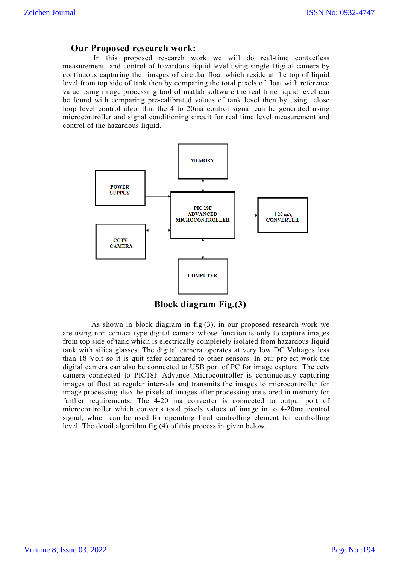### **Our Proposed research work:**

 In this proposed research work we will do real-time contactless measurement and control of hazardous liquid level using single Digital camera by continuous capturing the images of circular float which reside at the top of liquid level from top side of tank then by comparing the total pixels of float with reference value using image processing tool of matlab software the real time liquid level can be found with comparing pre-calibrated values of tank level then by using close loop level control algorithm the 4 to 20ma control signal can be generated using microcontroller and signal conditioning circuit for real time level measurement and control of the hazardous liquid.



**Block diagram Fig.(3)**

 As shown in block diagram in fig.(3), in our proposed research work we are using non contact type digital camera whose function is only to capture images from top side of tank which is electrically completely isolated from hazardous liquid tank with silica glasses. The digital camera operates at very low DC Voltages less than 18 Volt so it is quit safer compared to other sensors. In our project work the digital camera can also be connected to USB port of PC for image capture. The cctv camera connected to PIC18F Advance Microcontroller is continuously capturing images of float at regular intervals and transmits the images to microcontroller for image processing also the pixels of images after processing are stored in memory for further requirements. The 4-20 ma converter is connected to output port of microcontroller which converts total pixels values of image in to 4-20ma control signal, which can be used for operating final controlling element for controlling level. The detail algorithm fig.(4) of this process in given below.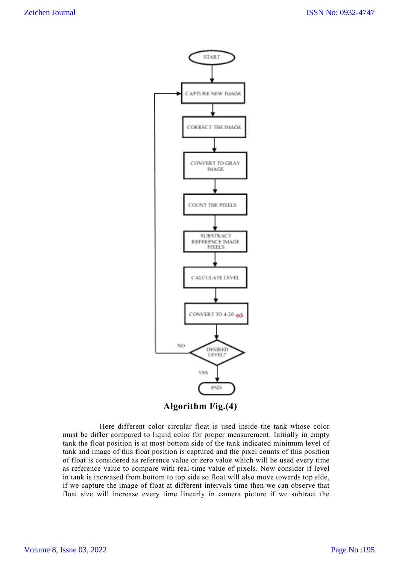

 Here different color circular float is used inside the tank whose color must be differ compared to liquid color for proper measurement. Initially in empty tank the float position is at most bottom side of the tank indicated minimum level of tank and image of this float position is captured and the pixel counts of this position of float is considered as reference value or zero value which will be used every time as reference value to compare with real-time value of pixels. Now consider if level in tank is increased from bottom to top side so float will also move towards top side, if we capture the image of float at different intervals time then we can observe that float size will increase every time linearly in camera picture if we subtract the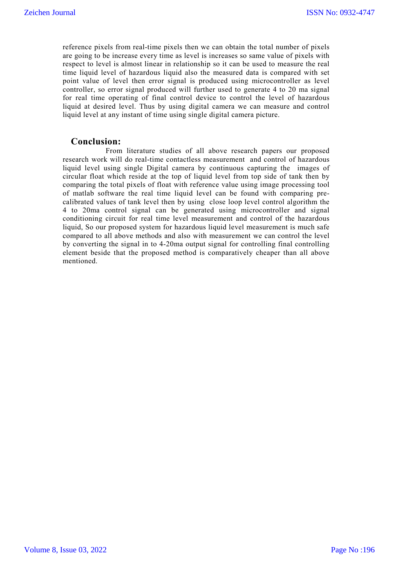reference pixels from real-time pixels then we can obtain the total number of pixels are going to be increase every time as level is increases so same value of pixels with respect to level is almost linear in relationship so it can be used to measure the real time liquid level of hazardous liquid also the measured data is compared with set point value of level then error signal is produced using microcontroller as level controller, so error signal produced will further used to generate 4 to 20 ma signal for real time operating of final control device to control the level of hazardous liquid at desired level. Thus by using digital camera we can measure and control liquid level at any instant of time using single digital camera picture.

### **Conclusion:**

 From literature studies of all above research papers our proposed research work will do real-time contactless measurement and control of hazardous liquid level using single Digital camera by continuous capturing the images of circular float which reside at the top of liquid level from top side of tank then by comparing the total pixels of float with reference value using image processing tool of matlab software the real time liquid level can be found with comparing precalibrated values of tank level then by using close loop level control algorithm the 4 to 20ma control signal can be generated using microcontroller and signal conditioning circuit for real time level measurement and control of the hazardous liquid, So our proposed system for hazardous liquid level measurement is much safe compared to all above methods and also with measurement we can control the level by converting the signal in to 4-20ma output signal for controlling final controlling element beside that the proposed method is comparatively cheaper than all above mentioned.